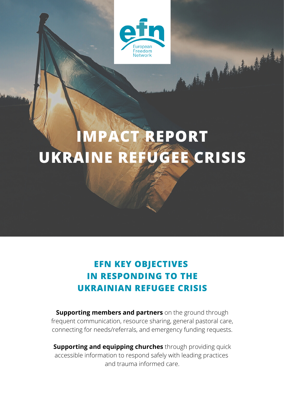

Marchett

## **IMPACT REPORT UKRAINE REFUGEE CRISIS**

## **EFN KEY OBJECTIVES IN RESPONDING TO THE UKRAINIAN REFUGEE CRISIS**

**Supporting members and partners** on the ground through frequent communication, resource sharing, general pastoral care, connecting for needs/referrals, and emergency funding requests.

**Supporting and equipping churches** through providing quick accessible information to respond safely with leading practices and trauma informed care.